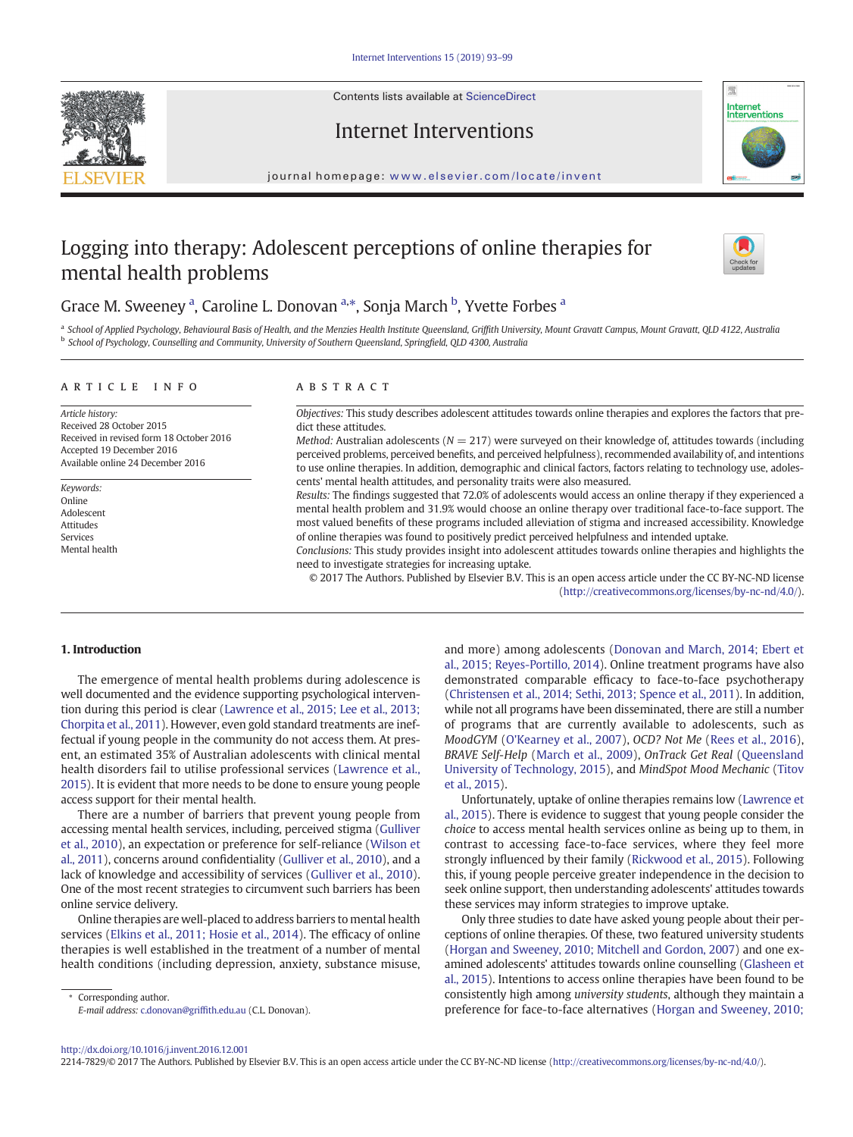Contents lists available at ScienceDirect



Internet Interventions



journal homepage: <www.elsevier.com/locate/invent>

# Logging into therapy: Adolescent perceptions of online therapies for mental health problems



# Grace M. Sweeney <sup>a</sup>, Caroline L. Donovan <sup>a,\*</sup>, Sonja March <sup>b</sup>, Yvette Forbes <sup>a</sup>

a School of Applied Psychology, Behavioural Basis of Health, and the Menzies Health Institute Queensland, Griffith University, Mount Gravatt Campus, Mount Gravatt, QLD 4122, Australia b School of Psychology, Counselling and Community, University of Southern Queensland, Springfield, QLD 4300, Australia

#### article info abstract

Article history: Received 28 October 2015 Received in revised form 18 October 2016 Accepted 19 December 2016 Available online 24 December 2016

Keywords: Online Adolescent Attitudes Services Mental health

Objectives: This study describes adolescent attitudes towards online therapies and explores the factors that predict these attitudes.

Method: Australian adolescents ( $N = 217$ ) were surveyed on their knowledge of, attitudes towards (including perceived problems, perceived benefits, and perceived helpfulness), recommended availability of, and intentions to use online therapies. In addition, demographic and clinical factors, factors relating to technology use, adolescents' mental health attitudes, and personality traits were also measured.

Results: The findings suggested that 72.0% of adolescents would access an online therapy if they experienced a mental health problem and 31.9% would choose an online therapy over traditional face-to-face support. The most valued benefits of these programs included alleviation of stigma and increased accessibility. Knowledge of online therapies was found to positively predict perceived helpfulness and intended uptake.

Conclusions: This study provides insight into adolescent attitudes towards online therapies and highlights the need to investigate strategies for increasing uptake.

© 2017 The Authors. Published by Elsevier B.V. This is an open access article under the CC BY-NC-ND license ([http://creativecommons.org/licenses/by-nc-nd/4.0/\)](http://creativecommons.org/licenses/by-nc-nd/4.0/).

#### 1. Introduction

The emergence of mental health problems during adolescence is well documented and the evidence supporting psychological intervention during this period is clear ([Lawrence et al., 2015; Lee et al., 2013;](#page-6-0) [Chorpita et al., 2011](#page-6-0)). However, even gold standard treatments are ineffectual if young people in the community do not access them. At present, an estimated 35% of Australian adolescents with clinical mental health disorders fail to utilise professional services [\(Lawrence et al.,](#page-6-0) [2015](#page-6-0)). It is evident that more needs to be done to ensure young people access support for their mental health.

There are a number of barriers that prevent young people from accessing mental health services, including, perceived stigma [\(Gulliver](#page-6-0) [et al., 2010](#page-6-0)), an expectation or preference for self-reliance ([Wilson et](#page-6-0) [al., 2011](#page-6-0)), concerns around confidentiality ([Gulliver et al., 2010\)](#page-6-0), and a lack of knowledge and accessibility of services [\(Gulliver et al., 2010](#page-6-0)). One of the most recent strategies to circumvent such barriers has been online service delivery.

Online therapies are well-placed to address barriers to mental health services [\(Elkins et al., 2011; Hosie et al., 2014\)](#page-6-0). The efficacy of online therapies is well established in the treatment of a number of mental health conditions (including depression, anxiety, substance misuse,

Corresponding author. E-mail address: [c.donovan@grif](mailto:c.donovan@griffith.edu.au)fith.edu.au (C.L. Donovan). and more) among adolescents ([Donovan and March, 2014; Ebert et](#page-6-0) [al., 2015; Reyes-Portillo, 2014\)](#page-6-0). Online treatment programs have also demonstrated comparable efficacy to face-to-face psychotherapy [\(Christensen et al., 2014; Sethi, 2013; Spence et al., 2011](#page-6-0)). In addition, while not all programs have been disseminated, there are still a number of programs that are currently available to adolescents, such as MoodGYM ([O'Kearney et al., 2007](#page-6-0)), OCD? Not Me [\(Rees et al., 2016](#page-6-0)), BRAVE Self-Help ([March et al., 2009](#page-6-0)), OnTrack Get Real [\(Queensland](#page-6-0) [University of Technology, 2015](#page-6-0)), and MindSpot Mood Mechanic [\(Titov](#page-6-0) [et al., 2015](#page-6-0)).

Unfortunately, uptake of online therapies remains low ([Lawrence et](#page-6-0) [al., 2015](#page-6-0)). There is evidence to suggest that young people consider the choice to access mental health services online as being up to them, in contrast to accessing face-to-face services, where they feel more strongly influenced by their family [\(Rickwood et al., 2015\)](#page-6-0). Following this, if young people perceive greater independence in the decision to seek online support, then understanding adolescents' attitudes towards these services may inform strategies to improve uptake.

Only three studies to date have asked young people about their perceptions of online therapies. Of these, two featured university students [\(Horgan and Sweeney, 2010; Mitchell and Gordon, 2007](#page-6-0)) and one examined adolescents' attitudes towards online counselling ([Glasheen et](#page-6-0) [al., 2015\)](#page-6-0). Intentions to access online therapies have been found to be consistently high among university students, although they maintain a preference for face-to-face alternatives ([Horgan and Sweeney, 2010;](#page-6-0)

<http://dx.doi.org/10.1016/j.invent.2016.12.001>

<sup>2214-7829/© 2017</sup> The Authors. Published by Elsevier B.V. This is an open access article under the CC BY-NC-ND license [\(http://creativecommons.org/licenses/by-nc-nd/4.0/\)](http://creativecommons.org/licenses/by-nc-nd/4.0/).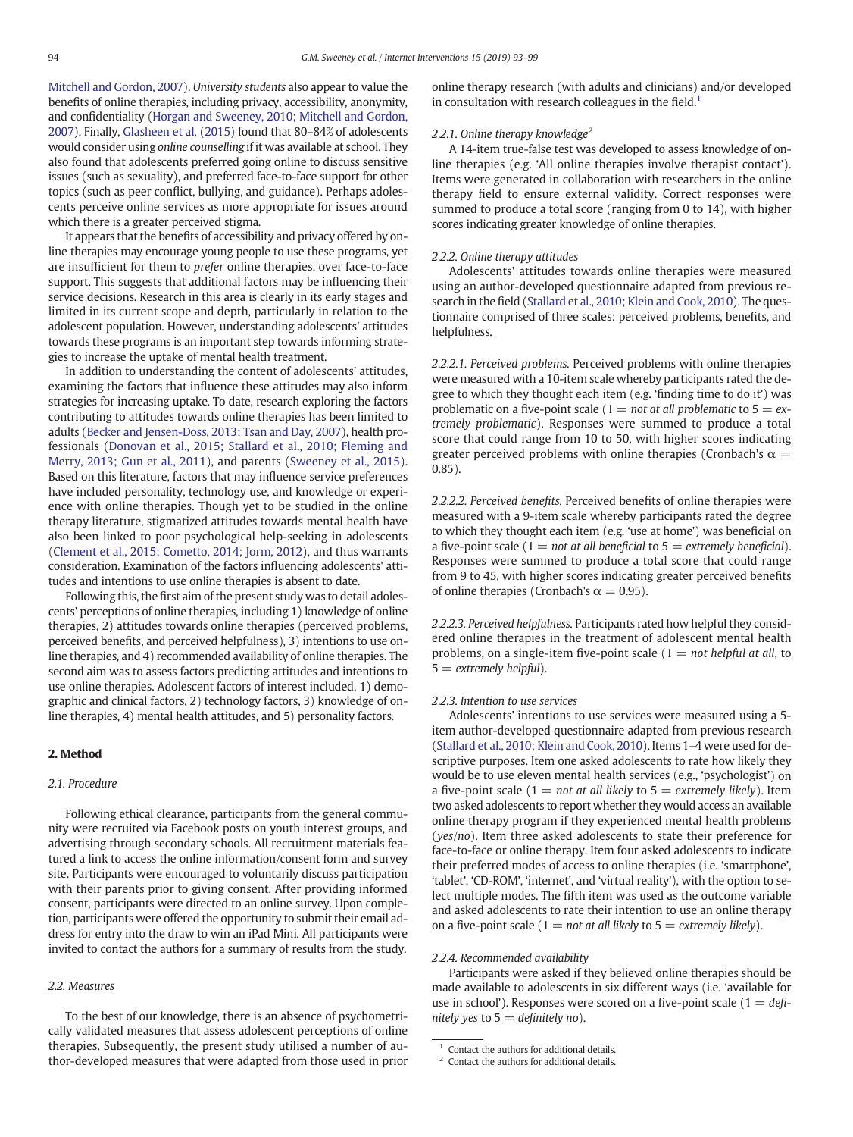<span id="page-1-0"></span>[Mitchell and Gordon, 2007\)](#page-6-0). University students also appear to value the benefits of online therapies, including privacy, accessibility, anonymity, and confidentiality ([Horgan and Sweeney, 2010; Mitchell and Gordon,](#page-6-0) [2007\)](#page-6-0). Finally, [Glasheen et al. \(2015\)](#page-6-0) found that 80–84% of adolescents would consider using online counselling if it was available at school. They also found that adolescents preferred going online to discuss sensitive issues (such as sexuality), and preferred face-to-face support for other topics (such as peer conflict, bullying, and guidance). Perhaps adolescents perceive online services as more appropriate for issues around which there is a greater perceived stigma.

It appears that the benefits of accessibility and privacy offered by online therapies may encourage young people to use these programs, yet are insufficient for them to prefer online therapies, over face-to-face support. This suggests that additional factors may be influencing their service decisions. Research in this area is clearly in its early stages and limited in its current scope and depth, particularly in relation to the adolescent population. However, understanding adolescents' attitudes towards these programs is an important step towards informing strategies to increase the uptake of mental health treatment.

In addition to understanding the content of adolescents' attitudes, examining the factors that influence these attitudes may also inform strategies for increasing uptake. To date, research exploring the factors contributing to attitudes towards online therapies has been limited to adults ([Becker and Jensen-Doss, 2013; Tsan and Day, 2007](#page-6-0)), health professionals [\(Donovan et al., 2015; Stallard et al., 2010; Fleming and](#page-6-0) [Merry, 2013; Gun et al., 2011](#page-6-0)), and parents ([Sweeney et al., 2015](#page-6-0)). Based on this literature, factors that may influence service preferences have included personality, technology use, and knowledge or experience with online therapies. Though yet to be studied in the online therapy literature, stigmatized attitudes towards mental health have also been linked to poor psychological help-seeking in adolescents [\(Clement et al., 2015; Cometto, 2014; Jorm, 2012](#page-6-0)), and thus warrants consideration. Examination of the factors influencing adolescents' attitudes and intentions to use online therapies is absent to date.

Following this, the first aim of the present study was to detail adolescents' perceptions of online therapies, including 1) knowledge of online therapies, 2) attitudes towards online therapies (perceived problems, perceived benefits, and perceived helpfulness), 3) intentions to use online therapies, and 4) recommended availability of online therapies. The second aim was to assess factors predicting attitudes and intentions to use online therapies. Adolescent factors of interest included, 1) demographic and clinical factors, 2) technology factors, 3) knowledge of online therapies, 4) mental health attitudes, and 5) personality factors.

#### 2. Method

### 2.1. Procedure

Following ethical clearance, participants from the general community were recruited via Facebook posts on youth interest groups, and advertising through secondary schools. All recruitment materials featured a link to access the online information/consent form and survey site. Participants were encouraged to voluntarily discuss participation with their parents prior to giving consent. After providing informed consent, participants were directed to an online survey. Upon completion, participants were offered the opportunity to submit their email address for entry into the draw to win an iPad Mini. All participants were invited to contact the authors for a summary of results from the study.

# 2.2. Measures

To the best of our knowledge, there is an absence of psychometrically validated measures that assess adolescent perceptions of online therapies. Subsequently, the present study utilised a number of author-developed measures that were adapted from those used in prior online therapy research (with adults and clinicians) and/or developed in consultation with research colleagues in the field.<sup>1</sup>

#### 2.2.1. Online therapy knowledge<sup>2</sup>

A 14-item true-false test was developed to assess knowledge of online therapies (e.g. 'All online therapies involve therapist contact'). Items were generated in collaboration with researchers in the online therapy field to ensure external validity. Correct responses were summed to produce a total score (ranging from 0 to 14), with higher scores indicating greater knowledge of online therapies.

#### 2.2.2. Online therapy attitudes

Adolescents' attitudes towards online therapies were measured using an author-developed questionnaire adapted from previous research in the field [\(Stallard et al., 2010; Klein and Cook, 2010\)](#page-6-0). The questionnaire comprised of three scales: perceived problems, benefits, and helpfulness.

2.2.2.1. Perceived problems. Perceived problems with online therapies were measured with a 10-item scale whereby participants rated the degree to which they thought each item (e.g. 'finding time to do it') was problematic on a five-point scale ( $1 = not$  at all problematic to  $5 = ex$ tremely problematic). Responses were summed to produce a total score that could range from 10 to 50, with higher scores indicating greater perceived problems with online therapies (Cronbach's  $\alpha =$ 0.85).

2.2.2.2. Perceived benefits. Perceived benefits of online therapies were measured with a 9-item scale whereby participants rated the degree to which they thought each item (e.g. 'use at home') was beneficial on a five-point scale ( $1 = not$  at all beneficial to  $5 =$  extremely beneficial). Responses were summed to produce a total score that could range from 9 to 45, with higher scores indicating greater perceived benefits of online therapies (Cronbach's  $\alpha = 0.95$ ).

2.2.2.3. Perceived helpfulness. Participants rated how helpful they considered online therapies in the treatment of adolescent mental health problems, on a single-item five-point scale  $(1 = not helpful at all, to$  $5 =$  extremely helpful).

#### 2.2.3. Intention to use services

Adolescents' intentions to use services were measured using a 5 item author-developed questionnaire adapted from previous research [\(Stallard et al., 2010; Klein and Cook, 2010\)](#page-6-0). Items 1–4 were used for descriptive purposes. Item one asked adolescents to rate how likely they would be to use eleven mental health services (e.g., 'psychologist') on a five-point scale ( $1 = not$  at all likely to  $5 =$  extremely likely). Item two asked adolescents to report whether they would access an available online therapy program if they experienced mental health problems (yes/no). Item three asked adolescents to state their preference for face-to-face or online therapy. Item four asked adolescents to indicate their preferred modes of access to online therapies (i.e. 'smartphone', 'tablet', 'CD-ROM', 'internet', and 'virtual reality'), with the option to select multiple modes. The fifth item was used as the outcome variable and asked adolescents to rate their intention to use an online therapy on a five-point scale ( $1 = not$  at all likely to  $5 =$  extremely likely).

#### 2.2.4. Recommended availability

Participants were asked if they believed online therapies should be made available to adolescents in six different ways (i.e. 'available for use in school'). Responses were scored on a five-point scale  $(1 = def-1)$ nitely yes to  $5 =$  definitely no).

Contact the authors for additional details.

<sup>2</sup> Contact the authors for additional details.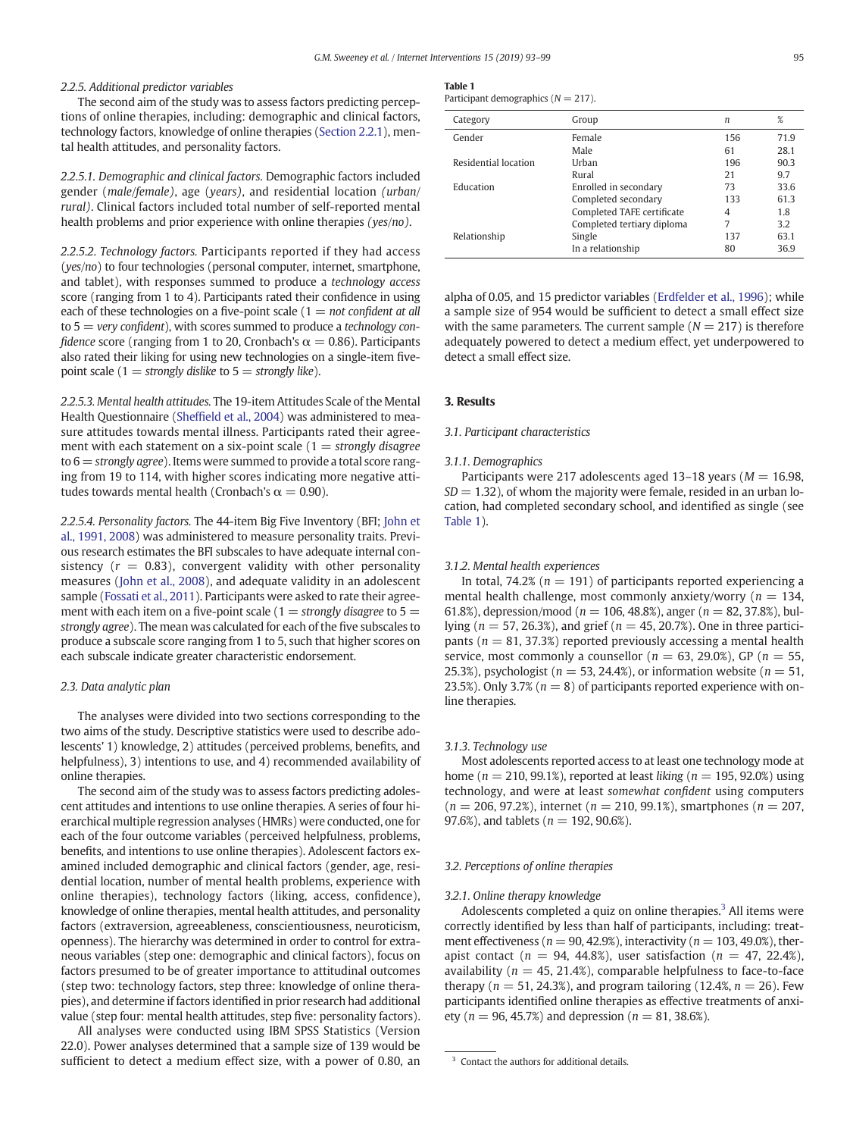#### 2.2.5. Additional predictor variables

The second aim of the study was to assess factors predicting perceptions of online therapies, including: demographic and clinical factors, technology factors, knowledge of online therapies [\(Section 2.2.1](#page-1-0)), mental health attitudes, and personality factors.

2.2.5.1. Demographic and clinical factors. Demographic factors included gender (male/female), age (years), and residential location (urban/ rural). Clinical factors included total number of self-reported mental health problems and prior experience with online therapies (yes/no).

2.2.5.2. Technology factors. Participants reported if they had access (yes/no) to four technologies (personal computer, internet, smartphone, and tablet), with responses summed to produce a technology access score (ranging from 1 to 4). Participants rated their confidence in using each of these technologies on a five-point scale  $(1 = not confident at all$ to  $5 = \text{very confident}$ , with scores summed to produce a technology confidence score (ranging from 1 to 20, Cronbach's  $\alpha = 0.86$ ). Participants also rated their liking for using new technologies on a single-item fivepoint scale (1 = strongly dislike to  $5 =$  strongly like).

2.2.5.3. Mental health attitudes. The 19-item Attitudes Scale of the Mental Health Questionnaire (Sheffi[eld et al., 2004](#page-6-0)) was administered to measure attitudes towards mental illness. Participants rated their agreement with each statement on a six-point scale  $(1 =$  strongly disagree to  $6 =$  strongly agree). Items were summed to provide a total score ranging from 19 to 114, with higher scores indicating more negative attitudes towards mental health (Cronbach's  $\alpha = 0.90$ ).

2.2.5.4. Personality factors. The 44-item Big Five Inventory (BFI; [John et](#page-6-0) [al., 1991, 2008](#page-6-0)) was administered to measure personality traits. Previous research estimates the BFI subscales to have adequate internal consistency  $(r = 0.83)$ , convergent validity with other personality measures ([John et al., 2008](#page-6-0)), and adequate validity in an adolescent sample [\(Fossati et al., 2011](#page-6-0)). Participants were asked to rate their agreement with each item on a five-point scale (1 = strongly disagree to  $5 =$ strongly agree). The mean was calculated for each of the five subscales to produce a subscale score ranging from 1 to 5, such that higher scores on each subscale indicate greater characteristic endorsement.

#### 2.3. Data analytic plan

The analyses were divided into two sections corresponding to the two aims of the study. Descriptive statistics were used to describe adolescents' 1) knowledge, 2) attitudes (perceived problems, benefits, and helpfulness), 3) intentions to use, and 4) recommended availability of online therapies.

The second aim of the study was to assess factors predicting adolescent attitudes and intentions to use online therapies. A series of four hierarchical multiple regression analyses (HMRs) were conducted, one for each of the four outcome variables (perceived helpfulness, problems, benefits, and intentions to use online therapies). Adolescent factors examined included demographic and clinical factors (gender, age, residential location, number of mental health problems, experience with online therapies), technology factors (liking, access, confidence), knowledge of online therapies, mental health attitudes, and personality factors (extraversion, agreeableness, conscientiousness, neuroticism, openness). The hierarchy was determined in order to control for extraneous variables (step one: demographic and clinical factors), focus on factors presumed to be of greater importance to attitudinal outcomes (step two: technology factors, step three: knowledge of online therapies), and determine if factors identified in prior research had additional value (step four: mental health attitudes, step five: personality factors).

All analyses were conducted using IBM SPSS Statistics (Version 22.0). Power analyses determined that a sample size of 139 would be sufficient to detect a medium effect size, with a power of 0.80, an

# Table 1

| Participant demographics (N |  |  | $217$ ). |  |
|-----------------------------|--|--|----------|--|
|-----------------------------|--|--|----------|--|

| Category             | Group                      | n   | %    |
|----------------------|----------------------------|-----|------|
| Gender               | Female                     | 156 | 71.9 |
|                      | Male                       | 61  | 28.1 |
| Residential location | Urban                      | 196 | 90.3 |
|                      | Rural                      | 21  | 9.7  |
| Education            | Enrolled in secondary      | 73  | 33.6 |
|                      | Completed secondary        | 133 | 61.3 |
|                      | Completed TAFE certificate | 4   | 1.8  |
|                      | Completed tertiary diploma | 7   | 3.2  |
| Relationship         | Single                     | 137 | 63.1 |
|                      | In a relationship          | 80  | 36.9 |

alpha of 0.05, and 15 predictor variables [\(Erdfelder et al., 1996](#page-6-0)); while a sample size of 954 would be sufficient to detect a small effect size with the same parameters. The current sample  $(N = 217)$  is therefore adequately powered to detect a medium effect, yet underpowered to detect a small effect size.

#### 3. Results

#### 3.1. Participant characteristics

#### 3.1.1. Demographics

Participants were 217 adolescents aged 13-18 years ( $M = 16.98$ ,  $SD = 1.32$ ), of whom the majority were female, resided in an urban location, had completed secondary school, and identified as single (see Table 1).

#### 3.1.2. Mental health experiences

In total, 74.2% ( $n = 191$ ) of participants reported experiencing a mental health challenge, most commonly anxiety/worry ( $n = 134$ , 61.8%), depression/mood ( $n = 106, 48.8%$ ), anger ( $n = 82, 37.8%$ ), bullying ( $n = 57, 26.3\%$ ), and grief ( $n = 45, 20.7\%$ ). One in three participants ( $n = 81, 37.3\%$ ) reported previously accessing a mental health service, most commonly a counsellor ( $n = 63$ , 29.0%), GP ( $n = 55$ , 25.3%), psychologist ( $n = 53, 24.4\%$ ), or information website ( $n = 51$ , 23.5%). Only 3.7% ( $n = 8$ ) of participants reported experience with online therapies.

#### 3.1.3. Technology use

Most adolescents reported access to at least one technology mode at home ( $n = 210, 99.1\%$ ), reported at least liking ( $n = 195, 92.0\%$ ) using technology, and were at least somewhat confident using computers  $(n = 206, 97.2\%)$ , internet  $(n = 210, 99.1\%)$ , smartphones  $(n = 207, 100)$ 97.6%), and tablets ( $n = 192, 90.6%$ ).

#### 3.2. Perceptions of online therapies

#### 3.2.1. Online therapy knowledge

Adolescents completed a quiz on online therapies.<sup>3</sup> All items were correctly identified by less than half of participants, including: treatment effectiveness ( $n = 90, 42.9\%)$ , interactivity ( $n = 103, 49.0\%)$ , therapist contact ( $n = 94, 44.8\%$ ), user satisfaction ( $n = 47, 22.4\%$ ), availability ( $n = 45, 21.4\%$ ), comparable helpfulness to face-to-face therapy ( $n = 51, 24.3\%$ ), and program tailoring (12.4%,  $n = 26$ ). Few participants identified online therapies as effective treatments of anxiety ( $n = 96, 45.7\%$ ) and depression ( $n = 81, 38.6\%$ ).

<sup>&</sup>lt;sup>3</sup> Contact the authors for additional details.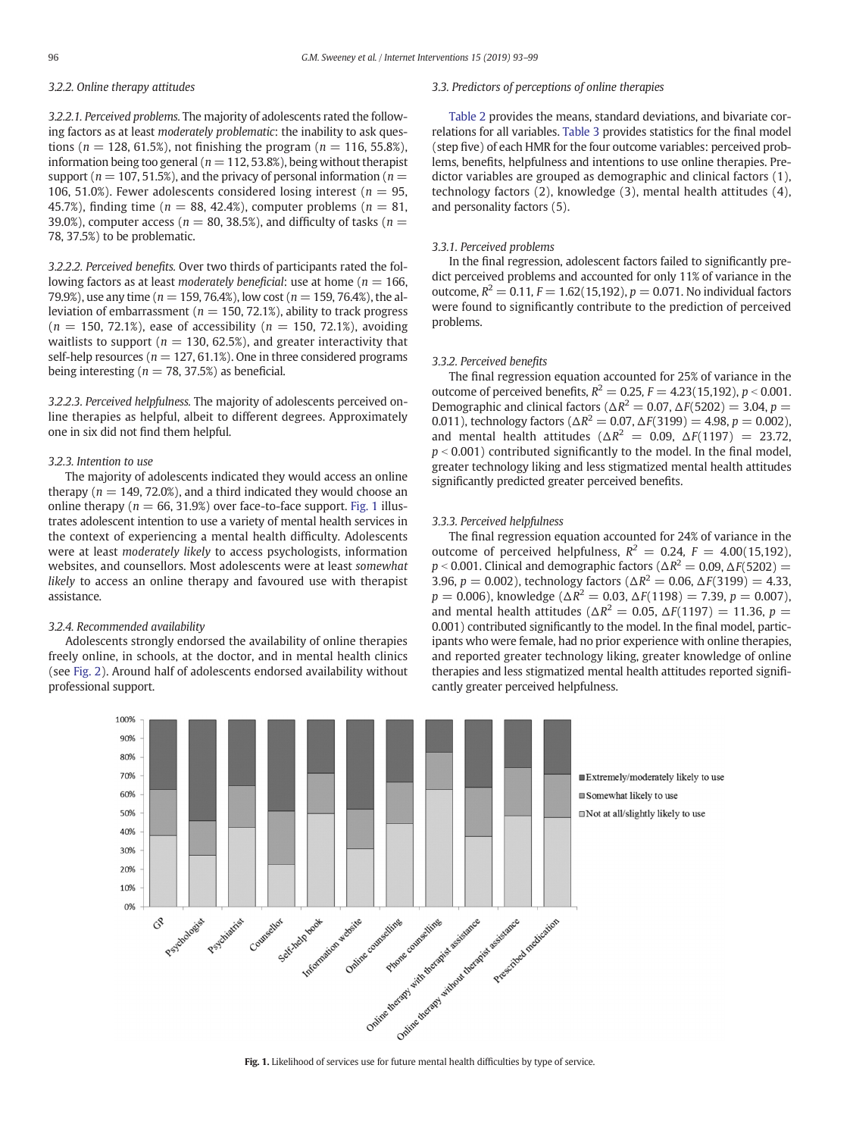# 3.2.2. Online therapy attitudes

3.2.2.1. Perceived problems. The majority of adolescents rated the following factors as at least moderately problematic: the inability to ask questions ( $n = 128, 61.5\%$ ), not finishing the program ( $n = 116, 55.8\%$ ), information being too general ( $n = 112, 53.8\%$ ), being without therapist support ( $n = 107, 51.5\%$ ), and the privacy of personal information ( $n =$ 106, 51.0%). Fewer adolescents considered losing interest ( $n = 95$ , 45.7%), finding time ( $n = 88, 42.4%$ ), computer problems ( $n = 81$ , 39.0%), computer access ( $n = 80$ , 38.5%), and difficulty of tasks ( $n =$ 78, 37.5%) to be problematic.

3.2.2.2. Perceived benefits. Over two thirds of participants rated the following factors as at least moderately beneficial: use at home ( $n = 166$ , 79.9%), use any time ( $n = 159, 76.4$ %), low cost ( $n = 159, 76.4$ %), the alleviation of embarrassment ( $n = 150, 72.1\%$ ), ability to track progress  $(n = 150, 72.1\%)$ , ease of accessibility  $(n = 150, 72.1\%)$ , avoiding waitlists to support ( $n = 130, 62.5\%$ ), and greater interactivity that self-help resources ( $n = 127, 61.1\%$ ). One in three considered programs being interesting ( $n = 78, 37.5\%$ ) as beneficial.

3.2.2.3. Perceived helpfulness. The majority of adolescents perceived online therapies as helpful, albeit to different degrees. Approximately one in six did not find them helpful.

## 3.2.3. Intention to use

The majority of adolescents indicated they would access an online therapy ( $n = 149, 72.0\%)$ , and a third indicated they would choose an online therapy ( $n = 66, 31.9%$ ) over face-to-face support. Fig. 1 illustrates adolescent intention to use a variety of mental health services in the context of experiencing a mental health difficulty. Adolescents were at least moderately likely to access psychologists, information websites, and counsellors. Most adolescents were at least somewhat likely to access an online therapy and favoured use with therapist assistance.

# 3.2.4. Recommended availability

Adolescents strongly endorsed the availability of online therapies freely online, in schools, at the doctor, and in mental health clinics (see [Fig. 2\)](#page-4-0). Around half of adolescents endorsed availability without professional support.

# 3.3. Predictors of perceptions of online therapies

[Table 2](#page-4-0) provides the means, standard deviations, and bivariate correlations for all variables. [Table 3](#page-5-0) provides statistics for the final model (step five) of each HMR for the four outcome variables: perceived problems, benefits, helpfulness and intentions to use online therapies. Predictor variables are grouped as demographic and clinical factors (1), technology factors (2), knowledge (3), mental health attitudes (4), and personality factors (5).

# 3.3.1. Perceived problems

In the final regression, adolescent factors failed to significantly predict perceived problems and accounted for only 11% of variance in the outcome,  $R^2 = 0.11$ ,  $F = 1.62(15,192)$ ,  $p = 0.071$ . No individual factors were found to significantly contribute to the prediction of perceived problems.

#### 3.3.2. Perceived benefits

The final regression equation accounted for 25% of variance in the outcome of perceived benefits,  $R^2 = 0.25$ ,  $F = 4.23(15,192)$ ,  $p < 0.001$ . Demographic and clinical factors ( $\Delta R^2 = 0.07$ ,  $\Delta F(5202) = 3.04$ ,  $p =$ 0.011), technology factors ( $\Delta R^2 = 0.07$ ,  $\Delta F(3199) = 4.98$ ,  $p = 0.002$ ), and mental health attitudes ( $\Delta R^2 = 0.09$ ,  $\Delta F(1197) = 23.72$ ,  $p < 0.001$ ) contributed significantly to the model. In the final model, greater technology liking and less stigmatized mental health attitudes significantly predicted greater perceived benefits.

#### 3.3.3. Perceived helpfulness

The final regression equation accounted for 24% of variance in the outcome of perceived helpfulness,  $R^2 = 0.24$ ,  $F = 4.00(15,192)$ ,  $p < 0.001$ . Clinical and demographic factors ( $\Delta R^2 = 0.09$ ,  $\Delta F(5202) =$ 3.96,  $p = 0.002$ ), technology factors ( $\Delta R^2 = 0.06$ ,  $\Delta F(3199) = 4.33$ ,  $p = 0.006$ ), knowledge ( $\Delta R^2 = 0.03$ ,  $\Delta F(1198) = 7.39$ ,  $p = 0.007$ ), and mental health attitudes ( $\Delta R^2 = 0.05$ ,  $\Delta F(1197) = 11.36$ ,  $p =$ 0.001) contributed significantly to the model. In the final model, participants who were female, had no prior experience with online therapies, and reported greater technology liking, greater knowledge of online therapies and less stigmatized mental health attitudes reported significantly greater perceived helpfulness.

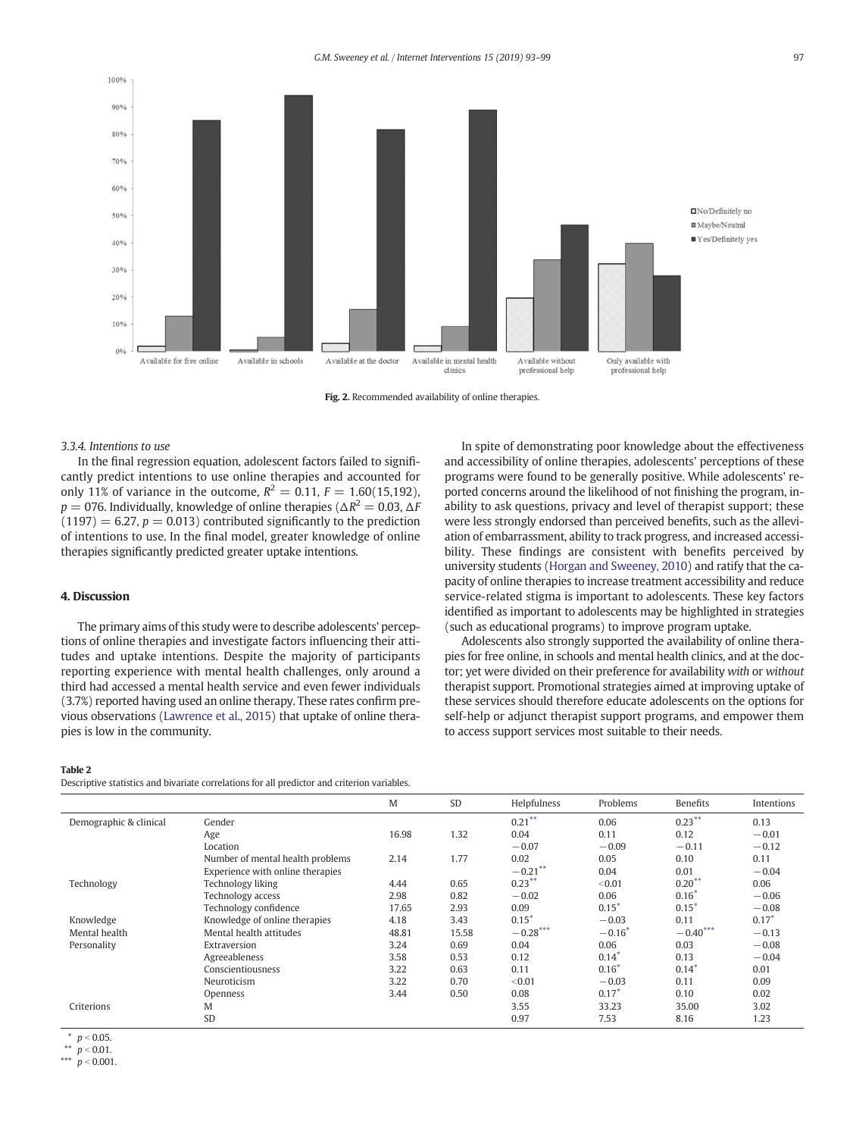<span id="page-4-0"></span>

Fig. 2. Recommended availability of online therapies.

#### 3.3.4. Intentions to use

In the final regression equation, adolescent factors failed to significantly predict intentions to use online therapies and accounted for only 11% of variance in the outcome,  $R^2 = 0.11$ ,  $F = 1.60(15,192)$ ,  $p = 076$ . Individually, knowledge of online therapies ( $\Delta R^2 = 0.03$ ,  $\Delta F$  $(1197) = 6.27$ ,  $p = 0.013$ ) contributed significantly to the prediction of intentions to use. In the final model, greater knowledge of online therapies significantly predicted greater uptake intentions.

# 4. Discussion

The primary aims of this study were to describe adolescents' perceptions of online therapies and investigate factors influencing their attitudes and uptake intentions. Despite the majority of participants reporting experience with mental health challenges, only around a third had accessed a mental health service and even fewer individuals (3.7%) reported having used an online therapy. These rates confirm previous observations [\(Lawrence et al., 2015](#page-6-0)) that uptake of online therapies is low in the community.

#### Table 2

Descriptive statistics and bivariate correlations for all predictor and criterion variables.

In spite of demonstrating poor knowledge about the effectiveness and accessibility of online therapies, adolescents' perceptions of these programs were found to be generally positive. While adolescents' reported concerns around the likelihood of not finishing the program, inability to ask questions, privacy and level of therapist support; these were less strongly endorsed than perceived benefits, such as the alleviation of embarrassment, ability to track progress, and increased accessibility. These findings are consistent with benefits perceived by university students ([Horgan and Sweeney, 2010](#page-6-0)) and ratify that the capacity of online therapies to increase treatment accessibility and reduce service-related stigma is important to adolescents. These key factors identified as important to adolescents may be highlighted in strategies (such as educational programs) to improve program uptake.

Adolescents also strongly supported the availability of online therapies for free online, in schools and mental health clinics, and at the doctor; yet were divided on their preference for availability with or without therapist support. Promotional strategies aimed at improving uptake of these services should therefore educate adolescents on the options for self-help or adjunct therapist support programs, and empower them to access support services most suitable to their needs.

|                        |                                  | M     | <b>SD</b> | Helpfulness | Problems | Benefits   | Intentions |
|------------------------|----------------------------------|-------|-----------|-------------|----------|------------|------------|
| Demographic & clinical | Gender                           |       |           | $0.21***$   | 0.06     | $0.23***$  | 0.13       |
|                        | Age                              | 16.98 | 1.32      | 0.04        | 0.11     | 0.12       | $-0.01$    |
|                        | Location                         |       |           | $-0.07$     | $-0.09$  | $-0.11$    | $-0.12$    |
|                        | Number of mental health problems | 2.14  | 1.77      | 0.02        | 0.05     | 0.10       | 0.11       |
|                        | Experience with online therapies |       |           | $-0.21***$  | 0.04     | 0.01       | $-0.04$    |
| Technology             | Technology liking                | 4.44  | 0.65      | $0.23***$   | < 0.01   | $0.20***$  | 0.06       |
|                        | Technology access                | 2.98  | 0.82      | $-0.02$     | 0.06     | $0.16*$    | $-0.06$    |
|                        | Technology confidence            | 17.65 | 2.93      | 0.09        | $0.15*$  | $0.15*$    | $-0.08$    |
| Knowledge              | Knowledge of online therapies    | 4.18  | 3.43      | $0.15*$     | $-0.03$  | 0.11       | $0.17*$    |
| Mental health          | Mental health attitudes          | 48.81 | 15.58     | $-0.28***$  | $-0.16*$ | $-0.40***$ | $-0.13$    |
| Personality            | Extraversion                     | 3.24  | 0.69      | 0.04        | 0.06     | 0.03       | $-0.08$    |
|                        | Agreeableness                    | 3.58  | 0.53      | 0.12        | $0.14*$  | 0.13       | $-0.04$    |
|                        | Conscientiousness                | 3.22  | 0.63      | 0.11        | $0.16*$  | $0.14*$    | 0.01       |
|                        | Neuroticism                      | 3.22  | 0.70      | < 0.01      | $-0.03$  | 0.11       | 0.09       |
|                        | Openness                         | 3.44  | 0.50      | 0.08        | $0.17*$  | 0.10       | 0.02       |
| Criterions             | M                                |       |           | 3.55        | 33.23    | 35.00      | 3.02       |
|                        | SD                               |       |           | 0.97        | 7.53     | 8.16       | 1.23       |

\*\*  $p < 0.01$ .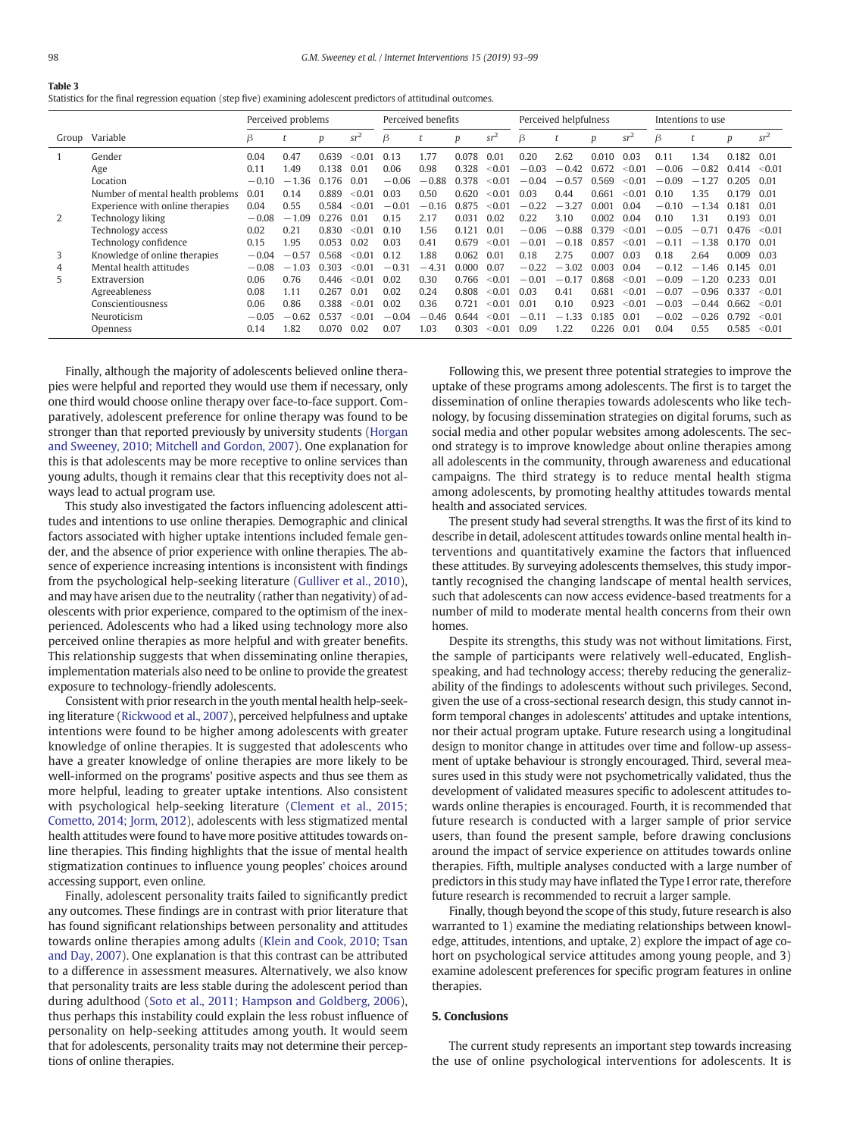# <span id="page-5-0"></span>Table 3

|  |  |  |  | Statistics for the final regression equation (step five) examining adolescent predictors of attitudinal outcomes. |  |  |  |
|--|--|--|--|-------------------------------------------------------------------------------------------------------------------|--|--|--|
|--|--|--|--|-------------------------------------------------------------------------------------------------------------------|--|--|--|

|       |                                  | Perceived problems |              |       | Perceived benefits |                |                | Perceived helpfulness |          |         |         | Intentions to use |                      |         |              |       |        |
|-------|----------------------------------|--------------------|--------------|-------|--------------------|----------------|----------------|-----------------------|----------|---------|---------|-------------------|----------------------|---------|--------------|-------|--------|
| Group | Variable                         | β                  |              | р     | $sr^2$             | ß              |                | p                     | $sr^2$   | B       |         | p                 | $sr^2$               | ß       |              | p     | $sr^2$ |
|       | Gender                           | 0.04               | 0.47         | 0.639 | < 0.01             | 0.13           | 1.77           | 0.078                 | 0.01     | 0.20    | 2.62    | 0.010             | 0.03                 | 0.11    | 1.34         | 0.182 | 0.01   |
|       | Age                              | 0.11               | 1.49         | 0.138 | 0.01               | 0.06           | 0.98           | 0.328                 | < 0.01   | $-0.03$ | $-0.42$ | 0.672             | < 0.01               | $-0.06$ | $-0.82$      | 0.414 | < 0.01 |
|       | Location                         | $-0.10$            | - 36<br>$-1$ | 0.176 | 0.01               | $-0.06$        | $-0.88$        | 0.378                 | < 0.01   | $-0.04$ | $-0.57$ | 0.569             | < 0.01               | $-0.09$ | $-1$         | 0 205 | 0.01   |
|       | Number of mental health problems | 0.01               | 0.14         | 0.889 | < 0.01             | 0.03           | 0.50           | 0.620                 | < 0.01   | 0.03    | 0.44    | 0.661             | $< 0.0$ <sup>-</sup> | 0.10    | .35          |       | 0.01   |
|       | Experience with online therapies | 0.04               | 0.55         | 0.584 | < 0.01             | $-0.01$        | $-0.16$        | 0.875                 | < 0.01   | $-0.22$ | $-3.27$ | 0.001             | 0.04                 | $-0.10$ | $-1.34$      | 0.181 | 0.01   |
|       | Technology liking                | $-0.08$            | .09<br>$-1$  | 0.276 | 0.01               | 0.15           | 2.17           | 0.031                 | 0.02     | 0.22    | 3.10    | 0.002             | 0.04                 | 0.10    | 1.31         | 0.193 | 0.01   |
|       | Technology access                | 0.02               | 0.21         | 0.830 | < 0.01             | 0.10           | 1.56           | 0.121                 | 0.01     | $-0.06$ | $-0.88$ | 0.379             | < 0.01               | $-0.05$ | $-0.71$      | 0.476 | < 0.01 |
|       | Technology confidence            | 0.15               | 1.95         | 0.053 | 0.02               | 0.03           | 0.41           | 0.679                 | < 0.01   | $-0.01$ | $-0.18$ | 0.857             | < 0.01               | $-0.1$  | i 38<br>$-1$ | 0.170 | 0.01   |
| 3     | Knowledge of online therapies    | $-0.04$            | $-0.57$      | 0.568 | < 0.01             | 0.12           | .88            | 0.062                 | 0.01     | 0.18    | 2.75    | 0.007             | 0.03                 | 0.18    | 2.64         | 0.009 | 0.03   |
| 4     | Mental health attitudes          | $-0.08$            | .03<br>$-1$  | 0.303 | < 0.01             | $-0.3^{\circ}$ | $-4.3^{\circ}$ | 0.000                 | 0.07     | $-0.22$ | $-3.02$ | 0.003             | 0.04                 | $-0.1$  | $-1$<br>.46  | 0.145 | 0.01   |
| 5.    | Extraversion                     | 0.06               | 0.76         | 0.446 | < 0.01             | 0.02           | 0.30           | 0.766                 | < 0.01   | $-0.01$ | $-0.17$ | 0.868             | < 0.01               | $-0.09$ | .20<br>$-1$  | በ 233 | 0.01   |
|       | Agreeableness                    | 0.08               | 1.11         | 0.267 | 0.01               | 0.02           | 0.24           | 0.808                 | < 0.01   | 0.03    | 0.41    | 0.681             | < 0.01               | $-0.07$ | $-0.96$      | 0337  | < 0.01 |
|       | Conscientiousness                | 0.06               | 0.86         | 0.388 | < 0.01             | 0.02           | 0.36           | 0.721                 | $<$ 0.01 | 0.01    | 0.10    | 0.923             | < 0.01               | $-0.03$ | $-0.44$      | 0.662 | < 0.01 |
|       | Neuroticism                      | $-0.05$            | $-0.62$      | 0.537 | < 0.01             | $-0.04$        | $-0.46$        | 0.644                 | < 0.01   | $-0.11$ | $-1.33$ | 0.185             | 0.01                 | $-0.02$ | $-0.26$      | 0.792 | < 0.01 |
|       | Openness                         | 0.14               | 1.82         | 0.070 | 0.02               | 0.07           | .03            | 0.303                 | < 0.01   | 0.09    | 1.22    | 0.226             | 0.01                 | 0.04    | 0.55         | 0.585 | < 0.01 |

Finally, although the majority of adolescents believed online therapies were helpful and reported they would use them if necessary, only one third would choose online therapy over face-to-face support. Comparatively, adolescent preference for online therapy was found to be stronger than that reported previously by university students [\(Horgan](#page-6-0) [and Sweeney, 2010; Mitchell and Gordon, 2007\)](#page-6-0). One explanation for this is that adolescents may be more receptive to online services than young adults, though it remains clear that this receptivity does not always lead to actual program use.

This study also investigated the factors influencing adolescent attitudes and intentions to use online therapies. Demographic and clinical factors associated with higher uptake intentions included female gender, and the absence of prior experience with online therapies. The absence of experience increasing intentions is inconsistent with findings from the psychological help-seeking literature [\(Gulliver et al., 2010](#page-6-0)), and may have arisen due to the neutrality (rather than negativity) of adolescents with prior experience, compared to the optimism of the inexperienced. Adolescents who had a liked using technology more also perceived online therapies as more helpful and with greater benefits. This relationship suggests that when disseminating online therapies, implementation materials also need to be online to provide the greatest exposure to technology-friendly adolescents.

Consistent with prior research in the youth mental health help-seeking literature [\(Rickwood et al., 2007\)](#page-6-0), perceived helpfulness and uptake intentions were found to be higher among adolescents with greater knowledge of online therapies. It is suggested that adolescents who have a greater knowledge of online therapies are more likely to be well-informed on the programs' positive aspects and thus see them as more helpful, leading to greater uptake intentions. Also consistent with psychological help-seeking literature ([Clement et al., 2015;](#page-6-0) [Cometto, 2014; Jorm, 2012](#page-6-0)), adolescents with less stigmatized mental health attitudes were found to have more positive attitudes towards online therapies. This finding highlights that the issue of mental health stigmatization continues to influence young peoples' choices around accessing support, even online.

Finally, adolescent personality traits failed to significantly predict any outcomes. These findings are in contrast with prior literature that has found significant relationships between personality and attitudes towards online therapies among adults [\(Klein and Cook, 2010; Tsan](#page-6-0) [and Day, 2007\)](#page-6-0). One explanation is that this contrast can be attributed to a difference in assessment measures. Alternatively, we also know that personality traits are less stable during the adolescent period than during adulthood [\(Soto et al., 2011; Hampson and Goldberg, 2006](#page-6-0)), thus perhaps this instability could explain the less robust influence of personality on help-seeking attitudes among youth. It would seem that for adolescents, personality traits may not determine their perceptions of online therapies.

Following this, we present three potential strategies to improve the uptake of these programs among adolescents. The first is to target the dissemination of online therapies towards adolescents who like technology, by focusing dissemination strategies on digital forums, such as social media and other popular websites among adolescents. The second strategy is to improve knowledge about online therapies among all adolescents in the community, through awareness and educational campaigns. The third strategy is to reduce mental health stigma among adolescents, by promoting healthy attitudes towards mental health and associated services.

The present study had several strengths. It was the first of its kind to describe in detail, adolescent attitudes towards online mental health interventions and quantitatively examine the factors that influenced these attitudes. By surveying adolescents themselves, this study importantly recognised the changing landscape of mental health services, such that adolescents can now access evidence-based treatments for a number of mild to moderate mental health concerns from their own homes.

Despite its strengths, this study was not without limitations. First, the sample of participants were relatively well-educated, Englishspeaking, and had technology access; thereby reducing the generalizability of the findings to adolescents without such privileges. Second, given the use of a cross-sectional research design, this study cannot inform temporal changes in adolescents' attitudes and uptake intentions, nor their actual program uptake. Future research using a longitudinal design to monitor change in attitudes over time and follow-up assessment of uptake behaviour is strongly encouraged. Third, several measures used in this study were not psychometrically validated, thus the development of validated measures specific to adolescent attitudes towards online therapies is encouraged. Fourth, it is recommended that future research is conducted with a larger sample of prior service users, than found the present sample, before drawing conclusions around the impact of service experience on attitudes towards online therapies. Fifth, multiple analyses conducted with a large number of predictors in this study may have inflated the Type I error rate, therefore future research is recommended to recruit a larger sample.

Finally, though beyond the scope of this study, future research is also warranted to 1) examine the mediating relationships between knowledge, attitudes, intentions, and uptake, 2) explore the impact of age cohort on psychological service attitudes among young people, and 3) examine adolescent preferences for specific program features in online therapies.

# 5. Conclusions

The current study represents an important step towards increasing the use of online psychological interventions for adolescents. It is